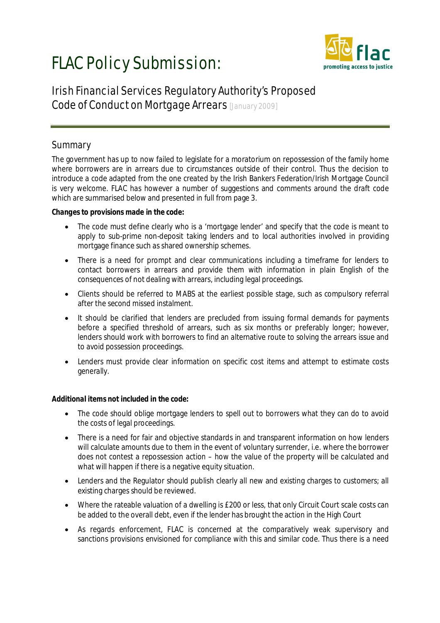# FLAC Policy Submission:



# Irish Financial Services Regulatory Authority's Proposed Code of Conduct on Mortgage Arrears [January 2009]

# **Summary**

The government has up to now failed to legislate for a moratorium on repossession of the family home where borrowers are in arrears due to circumstances outside of their control. Thus the decision to introduce a code adapted from the one created by the Irish Bankers Federation/Irish Mortgage Council is very welcome. FLAC has however a number of suggestions and comments around the draft code which are summarised below and presented in full from page 3.

### *Changes to provisions made in the code:*

- The code must define clearly who is a 'mortgage lender' and specify that the code is meant to apply to sub-prime non-deposit taking lenders and to local authorities involved in providing mortgage finance such as shared ownership schemes.
- There is a need for prompt and clear communications including a timeframe for lenders to contact borrowers in arrears and provide them with information in plain English of the consequences of not dealing with arrears, including legal proceedings.
- Clients should be referred to MABS at the earliest possible stage, such as compulsory referral after the second missed instalment.
- It should be clarified that lenders are precluded from issuing formal demands for payments before a specified threshold of arrears, such as six months or preferably longer; however, lenders should work with borrowers to find an alternative route to solving the arrears issue and to avoid possession proceedings.
- Lenders must provide clear information on specific cost items and attempt to estimate costs generally.

## *Additional items not included in the code:*

- The code should oblige mortgage lenders to spell out to borrowers what they can do to avoid the costs of legal proceedings.
- There is a need for fair and objective standards in and transparent information on how lenders will calculate amounts due to them in the event of voluntary surrender, i.e. where the borrower does not contest a repossession action – how the value of the property will be calculated and what will happen if there is a negative equity situation.
- Lenders and the Regulator should publish clearly all new and existing charges to customers; all existing charges should be reviewed.
- Where the rateable valuation of a dwelling is £200 or less, that only Circuit Court scale costs can be added to the overall debt, even if the lender has brought the action in the High Court
- As regards enforcement, FLAC is concerned at the comparatively weak supervisory and sanctions provisions envisioned for compliance with this and similar code. Thus there is a need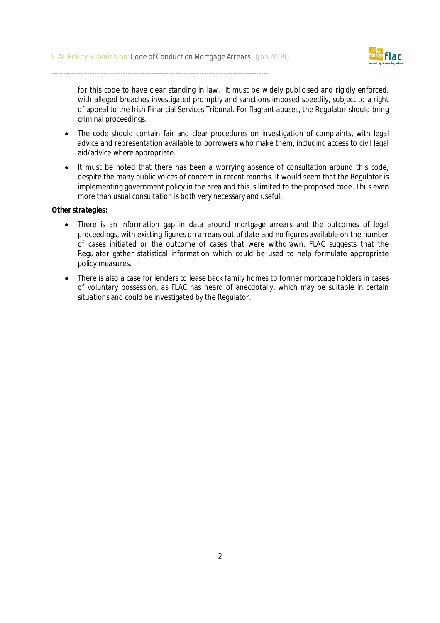

for this code to have clear standing in law. It must be widely publicised and rigidly enforced, with alleged breaches investigated promptly and sanctions imposed speedily, subject to a right of appeal to the Irish Financial Services Tribunal. For flagrant abuses, the Regulator should bring criminal proceedings.

- The code should contain fair and clear procedures on investigation of complaints, with legal advice and representation available to borrowers who make them, including access to civil legal aid/advice where appropriate.
- It must be noted that there has been a worrying absence of consultation around this code, despite the many public voices of concern in recent months. It would seem that the Regulator is implementing government policy in the area and this is limited to the proposed code. Thus even more than usual consultation is both very necessary and useful.

#### *Other strategies:*

- There is an information gap in data around mortgage arrears and the outcomes of legal proceedings, with existing figures on arrears out of date and no figures available on the number of cases initiated or the outcome of cases that were withdrawn. FLAC suggests that the Regulator gather statistical information which could be used to help formulate appropriate policy measures.
- There is also a case for lenders to lease back family homes to former mortgage holders in cases of voluntary possession, as FLAC has heard of anecdotally, which may be suitable in certain situations and could be investigated by the Regulator.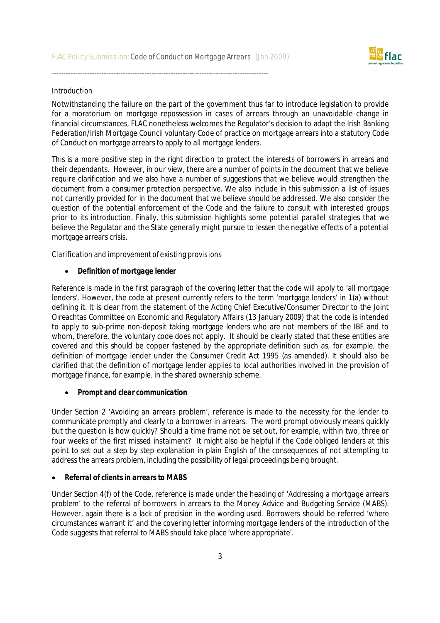

#### **Introduction**

Notwithstanding the failure on the part of the government thus far to introduce legislation to provide for a moratorium on mortgage repossession in cases of arrears through an unavoidable change in financial circumstances, FLAC nonetheless welcomes the Regulator's decision to adapt the Irish Banking Federation/Irish Mortgage Council voluntary Code of practice on mortgage arrears into a statutory Code of Conduct on mortgage arrears to apply to all mortgage lenders.

This is a more positive step in the right direction to protect the interests of borrowers in arrears and their dependants. However, in our view, there are a number of points in the document that we believe require clarification and we also have a number of suggestions that we believe would strengthen the document from a consumer protection perspective. We also include in this submission a list of issues not currently provided for in the document that we believe should be addressed. We also consider the question of the potential enforcement of the Code and the failure to consult with interested groups prior to its introduction. Finally, this submission highlights some potential parallel strategies that we believe the Regulator and the State generally might pursue to lessen the negative effects of a potential mortgage arrears crisis.

Clarification and improvement of existing provisions

#### *Definition of mortgage lender*

Reference is made in the first paragraph of the covering letter that the code will apply to 'all mortgage lenders'. However, the code at present currently refers to the term 'mortgage lenders' in 1(a) without defining it. It is clear from the statement of the Acting Chief Executive/Consumer Director to the Joint Oireachtas Committee on Economic and Regulatory Affairs (13 January 2009) that the code is intended to apply to sub-prime non-deposit taking mortgage lenders who are not members of the IBF and to whom, therefore, the voluntary code does not apply. It should be clearly stated that these entities are covered and this should be copper fastened by the appropriate definition such as, for example, the definition of mortgage lender under the Consumer Credit Act 1995 (as amended). It should also be clarified that the definition of mortgage lender applies to local authorities involved in the provision of mortgage finance, for example, in the shared ownership scheme.

#### *Prompt and clear communication*

Under Section 2 'Avoiding an arrears problem', reference is made to the necessity for the lender to communicate promptly and clearly to a borrower in arrears. The word prompt obviously means quickly but the question is how quickly? Should a time frame not be set out, for example, within two, three or four weeks of the first missed instalment? It might also be helpful if the Code obliged lenders at this point to set out a step by step explanation in plain English of the consequences of not attempting to address the arrears problem, including the possibility of legal proceedings being brought.

#### *Referral of clients in arrears to MABS*

Under Section 4(f) of the Code, reference is made under the heading of '*Addressing a mortgage arrears problem*' to the referral of borrowers in arrears to the Money Advice and Budgeting Service (MABS). However, again there is a lack of precision in the wording used. Borrowers should be referred '*where circumstances warrant it'* and the covering letter informing mortgage lenders of the introduction of the Code suggests that referral to MABS should take place '*where appropriate'*.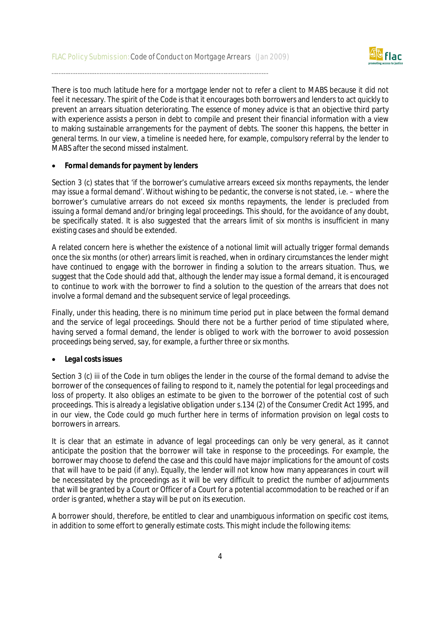

There is too much latitude here for a mortgage lender not to refer a client to MABS because it did not feel it necessary. The spirit of the Code is that it encourages both borrowers and lenders to act quickly to prevent an arrears situation deteriorating. The essence of money advice is that an objective third party with experience assists a person in debt to compile and present their financial information with a view to making sustainable arrangements for the payment of debts. The sooner this happens, the better in general terms. In our view, a timeline is needed here, for example, compulsory referral by the lender to MABS after the second missed instalment.

#### *Formal demands for payment by lenders*

Section 3 (c) states that *'if the borrower's cumulative arrears exceed six months repayments, the lender may issue a formal demand'.* Without wishing to be pedantic, the converse is not stated, i.e. – where the borrower's cumulative arrears do not exceed six months repayments, the lender is precluded from issuing a formal demand and/or bringing legal proceedings. This should, for the avoidance of any doubt, be specifically stated. It is also suggested that the arrears limit of six months is insufficient in many existing cases and should be extended.

A related concern here is whether the existence of a notional limit will actually trigger formal demands once the six months (or other) arrears limit is reached, when in ordinary circumstances the lender might have continued to engage with the borrower in finding a solution to the arrears situation. Thus, we suggest that the Code should add that, although the lender may issue a formal demand, it is encouraged to continue to work with the borrower to find a solution to the question of the arrears that does not involve a formal demand and the subsequent service of legal proceedings.

Finally, under this heading, there is no minimum time period put in place between the formal demand and the service of legal proceedings. Should there not be a further period of time stipulated where, having served a formal demand, the lender is obliged to work with the borrower to avoid possession proceedings being served, say, for example, a further three or six months.

#### *Legal costs issues*

Section 3 (c) iii of the Code in turn obliges the lender in the course of the formal demand to advise the borrower of the consequences of failing to respond to it, namely the potential for legal proceedings and loss of property. It also obliges an estimate to be given to the borrower of the potential cost of such proceedings. This is already a legislative obligation under s.134 (2) of the Consumer Credit Act 1995, and in our view, the Code could go much further here in terms of information provision on legal costs to borrowers in arrears.

It is clear that an estimate in advance of legal proceedings can only be very general, as it cannot anticipate the position that the borrower will take in response to the proceedings. For example, the borrower may choose to defend the case and this could have major implications for the amount of costs that will have to be paid (if any). Equally, the lender will not know how many appearances in court will be necessitated by the proceedings as it will be very difficult to predict the number of adjournments that will be granted by a Court or Officer of a Court for a potential accommodation to be reached or if an order is granted, whether a stay will be put on its execution.

A borrower should, therefore, be entitled to clear and unambiguous information on specific cost items, in addition to some effort to generally estimate costs. This might include the following items: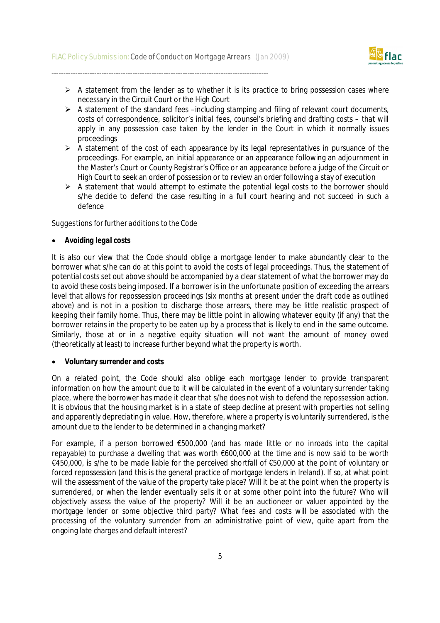

- $\triangleright$  A statement from the lender as to whether it is its practice to bring possession cases where necessary in the Circuit Court or the High Court
- $\triangleright$  A statement of the standard fees –including stamping and filing of relevant court documents, costs of correspondence, solicitor's initial fees, counsel's briefing and drafting costs – that will apply in any possession case taken by the lender in the Court in which it normally issues proceedings
- $\triangleright$  A statement of the cost of each appearance by its legal representatives in pursuance of the proceedings. For example, an initial appearance or an appearance following an adjournment in the Master's Court or County Registrar's Office or an appearance before a judge of the Circuit or High Court to seek an order of possession or to review an order following a stay of execution
- $\triangleright$  A statement that would attempt to estimate the potential legal costs to the borrower should s/he decide to defend the case resulting in a full court hearing and not succeed in such a defence

Suggestions for further additions to the Code

#### *Avoiding legal costs*

It is also our view that the Code should oblige a mortgage lender to make abundantly clear to the borrower what s/he can do at this point to avoid the costs of legal proceedings. Thus, the statement of potential costs set out above should be accompanied by a clear statement of what the borrower may do to avoid these costs being imposed. If a borrower is in the unfortunate position of exceeding the arrears level that allows for repossession proceedings (six months at present under the draft code as outlined above) and is not in a position to discharge those arrears, there may be little realistic prospect of keeping their family home. Thus, there may be little point in allowing whatever equity (if any) that the borrower retains in the property to be eaten up by a process that is likely to end in the same outcome. Similarly, those at or in a negative equity situation will not want the amount of money owed (theoretically at least) to increase further beyond what the property is worth.

#### *Voluntary surrender and costs*

On a related point, the Code should also oblige each mortgage lender to provide transparent information on how the amount due to it will be calculated in the event of a voluntary surrender taking place, where the borrower has made it clear that s/he does not wish to defend the repossession action. It is obvious that the housing market is in a state of steep decline at present with properties not selling and apparently depreciating in value. How, therefore, where a property is voluntarily surrendered, is the amount due to the lender to be determined in a changing market?

For example, if a person borrowed €500,000 (and has made little or no inroads into the capital repayable) to purchase a dwelling that was worth €600,000 at the time and is now said to be worth €450,000, is s/he to be made liable for the perceived shortfall of €50,000 at the point of voluntary or forced repossession (and this is the general practice of mortgage lenders in Ireland). If so, at what point will the assessment of the value of the property take place? Will it be at the point when the property is surrendered, or when the lender eventually sells it or at some other point into the future? Who will objectively assess the value of the property? Will it be an auctioneer or valuer appointed by the mortgage lender or some objective third party? What fees and costs will be associated with the processing of the voluntary surrender from an administrative point of view, quite apart from the ongoing late charges and default interest?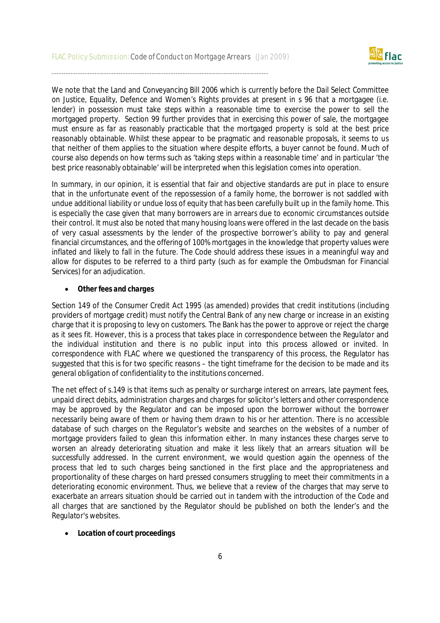

We note that the Land and Conveyancing Bill 2006 which is currently before the Dail Select Committee on Justice, Equality, Defence and Women's Rights provides at present in s 96 that a mortgagee (i.e. lender) in possession must take steps within a reasonable time to exercise the power to sell the mortgaged property. Section 99 further provides that in exercising this power of sale, the mortgagee must ensure as far as reasonably practicable that the mortgaged property is sold at the best price reasonably obtainable. Whilst these appear to be pragmatic and reasonable proposals, it seems to us that neither of them applies to the situation where despite efforts, a buyer cannot be found. Much of course also depends on how terms such as 'taking steps within a reasonable time' and in particular 'the best price reasonably obtainable' will be interpreted when this legislation comes into operation.

In summary, in our opinion, it is essential that fair and objective standards are put in place to ensure that in the unfortunate event of the repossession of a family home, the borrower is not saddled with undue additional liability or undue loss of equity that has been carefully built up in the family home. This is especially the case given that many borrowers are in arrears due to economic circumstances outside their control. It must also be noted that many housing loans were offered in the last decade on the basis of very casual assessments by the lender of the prospective borrower's ability to pay and general financial circumstances, and the offering of 100% mortgages in the knowledge that property values were inflated and likely to fall in the future. The Code should address these issues in a meaningful way and allow for disputes to be referred to a third party (such as for example the Ombudsman for Financial Services) for an adjudication.

#### *Other fees and charges*

Section 149 of the Consumer Credit Act 1995 (as amended) provides that credit institutions (including providers of mortgage credit) must notify the Central Bank of any new charge or increase in an existing charge that it is proposing to levy on customers. The Bank has the power to approve or reject the charge as it sees fit. However, this is a process that takes place in correspondence between the Regulator and the individual institution and there is no public input into this process allowed or invited. In correspondence with FLAC where we questioned the transparency of this process, the Regulator has suggested that this is for two specific reasons – the tight timeframe for the decision to be made and its general obligation of confidentiality to the institutions concerned.

The net effect of s.149 is that items such as penalty or surcharge interest on arrears, late payment fees, unpaid direct debits, administration charges and charges for solicitor's letters and other correspondence may be approved by the Regulator and can be imposed upon the borrower without the borrower necessarily being aware of them or having them drawn to his or her attention. There is no accessible database of such charges on the Regulator's website and searches on the websites of a number of mortgage providers failed to glean this information either. In many instances these charges serve to worsen an already deteriorating situation and make it less likely that an arrears situation will be successfully addressed. In the current environment, we would question again the openness of the process that led to such charges being sanctioned in the first place and the appropriateness and proportionality of these charges on hard pressed consumers struggling to meet their commitments in a deteriorating economic environment. Thus, we believe that a review of the charges that may serve to exacerbate an arrears situation should be carried out in tandem with the introduction of the Code and all charges that are sanctioned by the Regulator should be published on both the lender's and the Regulator's websites.

#### *Location of court proceedings*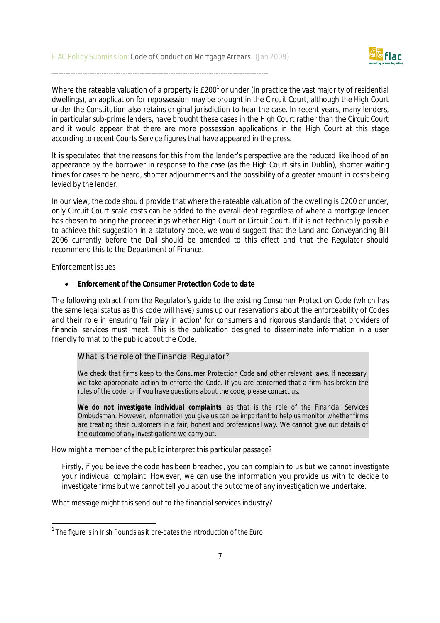

Where the rateable valuation of a property is  $E200^1$  or under (in practice the vast majority of residential dwellings), an application for repossession may be brought in the Circuit Court, although the High Court under the Constitution also retains original jurisdiction to hear the case. In recent years, many lenders, in particular sub-prime lenders, have brought these cases in the High Court rather than the Circuit Court and it would appear that there are more possession applications in the High Court at this stage according to recent Courts Service figures that have appeared in the press.

It is speculated that the reasons for this from the lender's perspective are the reduced likelihood of an appearance by the borrower in response to the case (as the High Court sits in Dublin), shorter waiting times for cases to be heard, shorter adjournments and the possibility of a greater amount in costs being levied by the lender.

In our view, the code should provide that where the rateable valuation of the dwelling is £200 or under, only Circuit Court scale costs can be added to the overall debt regardless of where a mortgage lender has chosen to bring the proceedings whether High Court or Circuit Court. If it is not technically possible to achieve this suggestion in a statutory code, we would suggest that the Land and Conveyancing Bill 2006 currently before the Dail should be amended to this effect and that the Regulator should recommend this to the Department of Finance.

Enforcement issues

-

#### *Enforcement of the Consumer Protection Code to date*

The following extract from the Regulator's guide to the existing Consumer Protection Code (which has the same legal status as this code will have) sums up our reservations about the enforceability of Codes and their role in ensuring 'fair play in action' for consumers and rigorous standards that providers of financial services must meet. This is the publication designed to disseminate information in a user friendly format to the public about the Code.

#### *What is the role of the Financial Regulator?*

*We check that firms keep to the Consumer Protection Code and other relevant laws. If necessary, we take appropriate action to enforce the Code. If you are concerned that a firm has broken the rules of the code, or if you have questions about the code, please contact us.*

*We do not investigate individual complaints, as that is the role of the Financial Services Ombudsman. However, information you give us can be important to help us monitor whether firms are treating their customers in a fair, honest and professional way. We cannot give out details of the outcome of any investigations we carry out.*

How might a member of the public interpret this particular passage?

Firstly, if you believe the code has been breached, you can complain to us but we cannot investigate your individual complaint. However, we can use the information you provide us with to decide to investigate firms but we cannot tell you about the outcome of any investigation we undertake.

What message might this send out to the financial services industry?

 $1$  The figure is in Irish Pounds as it pre-dates the introduction of the Euro.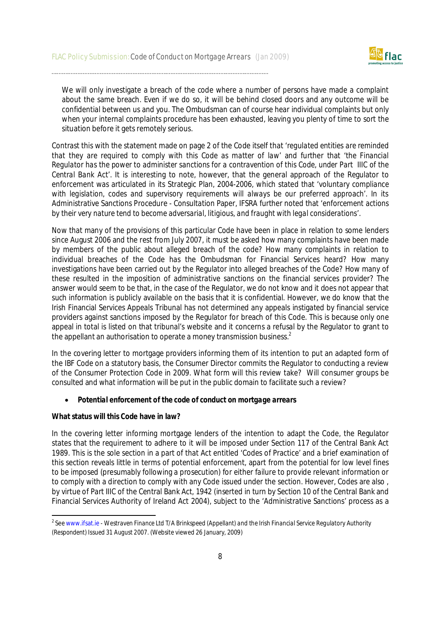

We will only investigate a breach of the code where a number of persons have made a complaint about the same breach. Even if we do so, it will be behind closed doors and any outcome will be confidential between us and you. The Ombudsman can of course hear individual complaints but only when your internal complaints procedure has been exhausted, leaving you plenty of time to sort the situation before it gets remotely serious.

Contrast this with the statement made on page 2 of the Code itself that '*regulated entities are reminded that they are required to comply with this Code as matter of law*' and further that '*the Financial Regulator has the power to administer sanctions for a contravention of this Code, under Part IIIC of the Central Bank Act*'. It is interesting to note, however, that the general approach of the Regulator to enforcement was articulated in its Strategic Plan, 2004-2006, which stated that '*voluntary compliance*  with legislation, codes and supervisory reguirements will always be our preferred approach'. In its Administrative Sanctions Procedure - Consultation Paper, IFSRA further noted that '*enforcement actions by their very nature tend to become adversarial, litigious, and fraught with legal considerations'.*

Now that many of the provisions of this particular Code have been in place in relation to some lenders since August 2006 and the rest from July 2007, it must be asked how many complaints have been made by members of the public about alleged breach of the code? How many complaints in relation to individual breaches of the Code has the Ombudsman for Financial Services heard? How many investigations have been carried out by the Regulator into alleged breaches of the Code? How many of these resulted in the imposition of administrative sanctions on the financial services provider? The answer would seem to be that, in the case of the Regulator, we do not know and it does not appear that such information is publicly available on the basis that it is confidential. However, we do know that the Irish Financial Services Appeals Tribunal has not determined any appeals instigated by financial service providers against sanctions imposed by the Regulator for breach of this Code. This is because only one appeal in total is listed on that tribunal's website and it concerns a refusal by the Regulator to grant to the appellant an authorisation to operate a money transmission business. $^2$ 

In the covering letter to mortgage providers informing them of its intention to put an adapted form of the IBF Code on a statutory basis, the Consumer Director commits the Regulator to conducting a review of the Consumer Protection Code in 2009. What form will this review take? Will consumer groups be consulted and what information will be put in the public domain to facilitate such a review?

#### *Potential enforcement of the code of conduct on mortgage arrears*

#### **What status will this Code have in law?**

In the covering letter informing mortgage lenders of the intention to adapt the Code, the Regulator states that the requirement to adhere to it will be imposed under Section 117 of the Central Bank Act 1989. This is the sole section in a part of that Act entitled 'Codes of Practice' and a brief examination of this section reveals little in terms of potential enforcement, apart from the potential for low level fines to be imposed (presumably following a prosecution) for either failure to provide relevant information or to comply with a direction to comply with any Code issued under the section. However, Codes are also , by virtue of Part IIIC of the Central Bank Act, 1942 (inserted in turn by Section 10 of the Central Bank and Financial Services Authority of Ireland Act 2004), subject to the 'Administrative Sanctions' process as a

 2 See www.ifsat.ie - *Westraven Finance Ltd T/A Brinkspeed (Appellant) and the Irish Financial Service Regulatory Authority (Respondent) Issued 31 August 2007*. (Website viewed 26 January, 2009)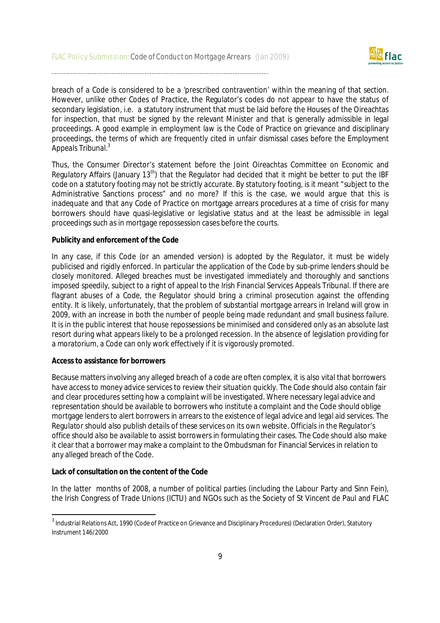

breach of a Code is considered to be a 'prescribed contravention' within the meaning of that section. However, unlike other Codes of Practice, the Regulator's codes do not appear to have the status of secondary legislation, i.e. a statutory instrument that must be laid before the Houses of the Oireachtas for inspection, that must be signed by the relevant Minister and that is generally admissible in legal proceedings. A good example in employment law is the Code of Practice on grievance and disciplinary proceedings, the terms of which are frequently cited in unfair dismissal cases before the Employment Appeals Tribunal.<sup>3</sup>

Thus, the Consumer Director's statement before the Joint Oireachtas Committee on Economic and Regulatory Affairs (January 13<sup>th</sup>) that the Regulator had decided that it might be better to put the IBF code on a statutory footing may not be strictly accurate. By statutory footing, is it meant "subject to the Administrative Sanctions process" and no more? If this is the case, we would argue that this is inadequate and that any Code of Practice on mortgage arrears procedures at a time of crisis for many borrowers should have quasi-legislative or legislative status and at the least be admissible in legal proceedings such as in mortgage repossession cases before the courts.

#### **Publicity and enforcement of the Code**

In any case, if this Code (or an amended version) is adopted by the Regulator, it must be widely publicised and rigidly enforced. In particular the application of the Code by sub-prime lenders should be closely monitored. Alleged breaches must be investigated immediately and thoroughly and sanctions imposed speedily, subject to a right of appeal to the Irish Financial Services Appeals Tribunal. If there are flagrant abuses of a Code, the Regulator should bring a criminal prosecution against the offending entity. It is likely, unfortunately, that the problem of substantial mortgage arrears in Ireland will grow in 2009, with an increase in both the number of people being made redundant and small business failure. It is in the public interest that house repossessions be minimised and considered only as an absolute last resort during what appears likely to be a prolonged recession. In the absence of legislation providing for a moratorium, a Code can only work effectively if it is vigorously promoted.

#### **Access to assistance for borrowers**

Because matters involving any alleged breach of a code are often complex, it is also vital that borrowers have access to money advice services to review their situation quickly. The Code should also contain fair and clear procedures setting how a complaint will be investigated. Where necessary legal advice and representation should be available to borrowers who institute a complaint and the Code should oblige mortgage lenders to alert borrowers in arrears to the existence of legal advice and legal aid services. The Regulator should also publish details of these services on its own website. Officials in the Regulator's office should also be available to assist borrowers in formulating their cases. The Code should also make it clear that a borrower may make a complaint to the Ombudsman for Financial Services in relation to any alleged breach of the Code.

#### **Lack of consultation on the content of the Code**

**.** 

In the latter months of 2008, a number of political parties (including the Labour Party and Sinn Fein), the Irish Congress of Trade Unions (ICTU) and NGOs such as the Society of St Vincent de Paul and FLAC

 $^3$  Industrial Relations Act, 1990 (Code of Practice on Grievance and Disciplinary Procedures) (Declaration Order), Statutory Instrument 146/2000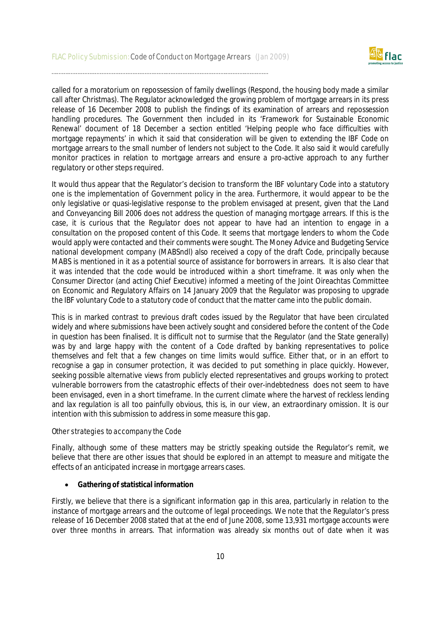

called for a moratorium on repossession of family dwellings (Respond, the housing body made a similar call after Christmas). The Regulator acknowledged the growing problem of mortgage arrears in its press release of 16 December 2008 to publish the findings of its examination of arrears and repossession handling procedures. The Government then included in its 'Framework for Sustainable Economic Renewal' document of 18 December a section entitled 'Helping people who face difficulties with mortgage repayments' in which it said that consideration will be given to extending the IBF Code on mortgage arrears to the small number of lenders not subject to the Code. It also said it would carefully monitor practices in relation to mortgage arrears and ensure a pro-active approach to any further regulatory or other steps required.

It would thus appear that the Regulator's decision to transform the IBF voluntary Code into a statutory one is the implementation of Government policy in the area. Furthermore, it would appear to be the only legislative or quasi-legislative response to the problem envisaged at present, given that the Land and Conveyancing Bill 2006 does not address the question of managing mortgage arrears. If this is the case, it is curious that the Regulator does not appear to have had an intention to engage in a consultation on the proposed content of this Code. It seems that mortgage lenders to whom the Code would apply were contacted and their comments were sought. The Money Advice and Budgeting Service national development company (MABSndl) also received a copy of the draft Code, principally because MABS is mentioned in it as a potential source of assistance for borrowers in arrears. It is also clear that it was intended that the code would be introduced within a short timeframe. It was only when the Consumer Director (and acting Chief Executive) informed a meeting of the Joint Oireachtas Committee on Economic and Regulatory Affairs on 14 January 2009 that the Regulator was proposing to upgrade the IBF voluntary Code to a statutory code of conduct that the matter came into the public domain.

This is in marked contrast to previous draft codes issued by the Regulator that have been circulated widely and where submissions have been actively sought and considered before the content of the Code in question has been finalised. It is difficult not to surmise that the Regulator (and the State generally) was by and large happy with the content of a Code drafted by banking representatives to police themselves and felt that a few changes on time limits would suffice. Either that, or in an effort to recognise a gap in consumer protection, it was decided to put something in place quickly. However, seeking possible alternative views from publicly elected representatives and groups working to protect vulnerable borrowers from the catastrophic effects of their over-indebtedness does not seem to have been envisaged, even in a short timeframe. In the current climate where the harvest of reckless lending and lax regulation is all too painfully obvious, this is, in our view, an extraordinary omission. It is our intention with this submission to address in some measure this gap.

#### Other strategies to accompany the Code

Finally, although some of these matters may be strictly speaking outside the Regulator's remit, we believe that there are other issues that should be explored in an attempt to measure and mitigate the effects of an anticipated increase in mortgage arrears cases.

#### **Gathering of statistical information**

Firstly, we believe that there is a significant information gap in this area, particularly in relation to the instance of mortgage arrears and the outcome of legal proceedings. We note that the Regulator's press release of 16 December 2008 stated that at the end of June 2008, some 13,931 mortgage accounts were over three months in arrears. That information was already six months out of date when it was